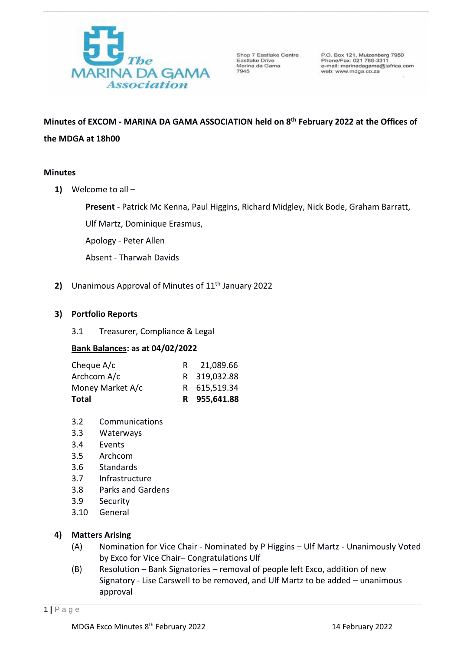

Shop 7 Eastlake Centre Eastlake Drive Marina da Gama 7945

P.O. Box 121, Muizenberg 7950<br>Phone/Fax: 021 788-3311 e-mail: marinadagama@iafrica.com web: www.mdga.co.za

# **Minutes of EXCOM - MARINA DA GAMA ASSOCIATION held on 8 th February 2022 at the Offices of the MDGA at 18h00**

# **Minutes**

**1)** Welcome to all –

**Present** - Patrick Mc Kenna, Paul Higgins, Richard Midgley, Nick Bode, Graham Barratt,

Ulf Martz, Dominique Erasmus,

Apology - Peter Allen

Absent - Tharwah Davids

2) Unanimous Approval of Minutes of 11<sup>th</sup> January 2022

# **3) Portfolio Reports**

3.1 Treasurer, Compliance & Legal

# **Bank Balances: as at 04/02/2022**

| <b>Total</b>     | R 955,641.88 |
|------------------|--------------|
| Money Market A/c | R 615,519.34 |
| Archcom A/c      | R 319,032.88 |
| Cheque A/c       | 21,089.66    |

- 3.2 Communications
- 3.3 Waterways
- 3.4 Events
- 3.5 Archcom
- 3.6 Standards
- 3.7 Infrastructure
- 3.8 Parks and Gardens
- 3.9 Security
- 3.10 General

# **4) Matters Arising**

- (A) Nomination for Vice Chair Nominated by P Higgins Ulf Martz Unanimously Voted by Exco for Vice Chair– Congratulations Ulf
- (B) Resolution Bank Signatories removal of people left Exco, addition of new Signatory - Lise Carswell to be removed, and Ulf Martz to be added – unanimous approval

1 **|** P a g e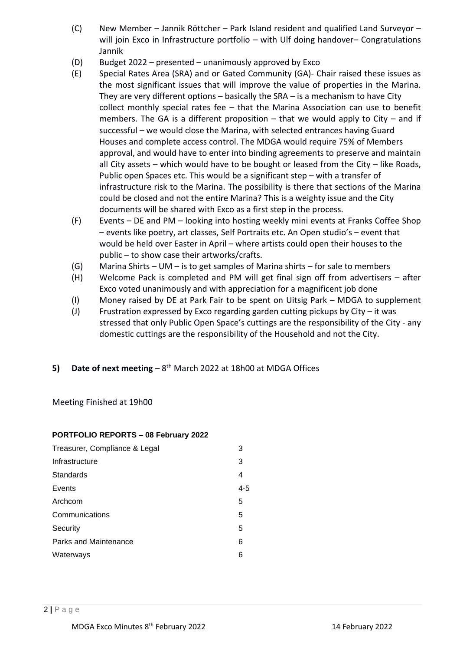- (C) New Member Jannik Röttcher Park Island resident and qualified Land Surveyor will join Exco in Infrastructure portfolio – with Ulf doing handover– Congratulations Jannik
- (D) Budget 2022 presented unanimously approved by Exco
- (E) Special Rates Area (SRA) and or Gated Community (GA)- Chair raised these issues as the most significant issues that will improve the value of properties in the Marina. They are very different options – basically the SRA – is a mechanism to have City collect monthly special rates fee – that the Marina Association can use to benefit members. The GA is a different proposition – that we would apply to City – and if successful – we would close the Marina, with selected entrances having Guard Houses and complete access control. The MDGA would require 75% of Members approval, and would have to enter into binding agreements to preserve and maintain all City assets – which would have to be bought or leased from the City – like Roads, Public open Spaces etc. This would be a significant step – with a transfer of infrastructure risk to the Marina. The possibility is there that sections of the Marina could be closed and not the entire Marina? This is a weighty issue and the City documents will be shared with Exco as a first step in the process.
- (F) Events DE and PM looking into hosting weekly mini events at Franks Coffee Shop – events like poetry, art classes, Self Portraits etc. An Open studio's – event that would be held over Easter in April – where artists could open their houses to the public – to show case their artworks/crafts.
- (G) Marina Shirts UM is to get samples of Marina shirts for sale to members
- (H) Welcome Pack is completed and PM will get final sign off from advertisers after Exco voted unanimously and with appreciation for a magnificent job done
- (I) Money raised by DE at Park Fair to be spent on Uitsig Park MDGA to supplement
- (J) Frustration expressed by Exco regarding garden cutting pickups by City it was stressed that only Public Open Space's cuttings are the responsibility of the City - any domestic cuttings are the responsibility of the Household and not the City.
- **5)** Date of next meeting 8<sup>th</sup> March 2022 at 18h00 at MDGA Offices

Meeting Finished at 19h00

## **PORTFOLIO REPORTS – 08 February 2022**

| Treasurer, Compliance & Legal | З   |
|-------------------------------|-----|
| Infrastructure                | 3   |
| Standards                     | 4   |
| Events                        | 4-5 |
| Archcom                       | 5   |
| Communications                | 5   |
| Security                      | 5   |
| Parks and Maintenance         | 6   |
| Waterways                     | 6   |
|                               |     |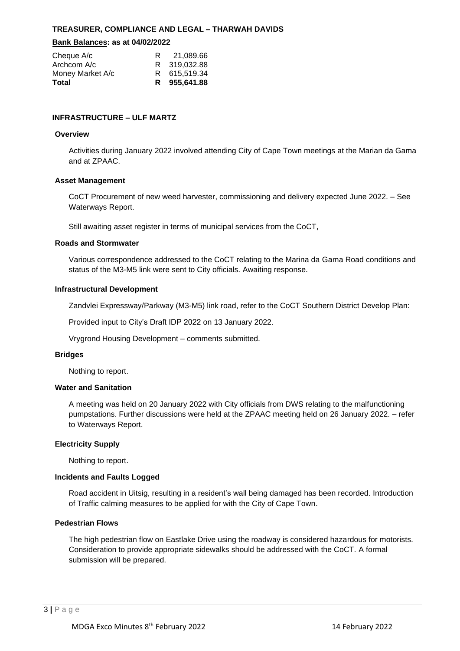## **TREASURER, COMPLIANCE AND LEGAL – THARWAH DAVIDS**

#### **Bank Balances: as at 04/02/2022**

| Cheque A/c<br>Archcom A/c | 21.089.66<br>R 319,032.88 |
|---------------------------|---------------------------|
| Money Market A/c          | R 615.519.34              |
| Total                     | R 955,641.88              |

## **INFRASTRUCTURE – ULF MARTZ**

#### **Overview**

 Activities during January 2022 involved attending City of Cape Town meetings at the Marian da Gama and at ZPAAC.

#### **Asset Management**

 CoCT Procurement of new weed harvester, commissioning and delivery expected June 2022. – See Waterways Report.

Still awaiting asset register in terms of municipal services from the CoCT,

#### **Roads and Stormwater**

 Various correspondence addressed to the CoCT relating to the Marina da Gama Road conditions and status of the M3-M5 link were sent to City officials. Awaiting response.

#### **Infrastructural Development**

Zandvlei Expressway/Parkway (M3-M5) link road, refer to the CoCT Southern District Develop Plan:

Provided input to City's Draft IDP 2022 on 13 January 2022.

Vrygrond Housing Development – comments submitted.

#### **Bridges**

Nothing to report.

#### **Water and Sanitation**

 A meeting was held on 20 January 2022 with City officials from DWS relating to the malfunctioning pumpstations. Further discussions were held at the ZPAAC meeting held on 26 January 2022. – refer to Waterways Report.

## **Electricity Supply**

Nothing to report.

## **Incidents and Faults Logged**

 Road accident in Uitsig, resulting in a resident's wall being damaged has been recorded. Introduction of Traffic calming measures to be applied for with the City of Cape Town.

#### **Pedestrian Flows**

 The high pedestrian flow on Eastlake Drive using the roadway is considered hazardous for motorists. Consideration to provide appropriate sidewalks should be addressed with the CoCT. A formal submission will be prepared.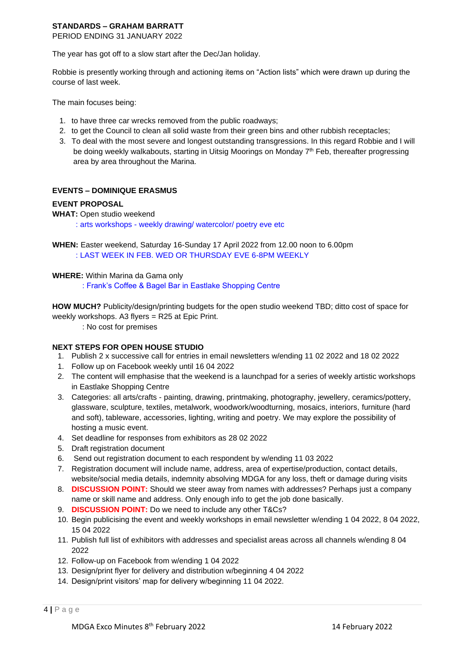# **STANDARDS – GRAHAM BARRATT**

PERIOD ENDING 31 JANUARY 2022

The year has got off to a slow start after the Dec/Jan holiday.

 Robbie is presently working through and actioning items on "Action lists" which were drawn up during the course of last week.

The main focuses being:

- 1. to have three car wrecks removed from the public roadways;
- 2. to get the Council to clean all solid waste from their green bins and other rubbish receptacles;
- 3. To deal with the most severe and longest outstanding transgressions. In this regard Robbie and I will be doing weekly walkabouts, starting in Uitsig Moorings on Monday 7<sup>th</sup> Feb, thereafter progressing area by area throughout the Marina.

# **EVENTS – DOMINIQUE ERASMUS**

## **EVENT PROPOSAL**

## **WHAT:** Open studio weekend

: arts workshops - weekly drawing/ watercolor/ poetry eve etc

 **WHEN:** Easter weekend, Saturday 16-Sunday 17 April 2022 from 12.00 noon to 6.00pm : LAST WEEK IN FEB. WED OR THURSDAY EVE 6-8PM WEEKLY

## **WHERE:** Within Marina da Gama only

: Frank's Coffee & Bagel Bar in Eastlake Shopping Centre

 **HOW MUCH?** Publicity/design/printing budgets for the open studio weekend TBD; ditto cost of space for weekly workshops. A3 flyers = R25 at Epic Print.

: No cost for premises

## **NEXT STEPS FOR OPEN HOUSE STUDIO**

- 1. Publish 2 x successive call for entries in email newsletters w/ending 11 02 2022 and 18 02 2022
- 1. Follow up on Facebook weekly until 16 04 2022
- 2. The content will emphasise that the weekend is a launchpad for a series of weekly artistic workshops in Eastlake Shopping Centre
- 3. Categories: all arts/crafts painting, drawing, printmaking, photography, jewellery, ceramics/pottery, glassware, sculpture, textiles, metalwork, woodwork/woodturning, mosaics, interiors, furniture (hard and soft), tableware, accessories, lighting, writing and poetry. We may explore the possibility of hosting a music event.
- 4. Set deadline for responses from exhibitors as 28 02 2022
- 5. Draft registration document
- 6. Send out registration document to each respondent by w/ending 11 03 2022
- 7. Registration document will include name, address, area of expertise/production, contact details, website/social media details, indemnity absolving MDGA for any loss, theft or damage during visits
- 8. **DISCUSSION POINT:** Should we steer away from names with addresses? Perhaps just a company name or skill name and address. Only enough info to get the job done basically.
- 9. **DISCUSSION POINT:** Do we need to include any other T&Cs?
- 10. Begin publicising the event and weekly workshops in email newsletter w/ending 1 04 2022, 8 04 2022, 15 04 2022
- 11. Publish full list of exhibitors with addresses and specialist areas across all channels w/ending 8 04  $2022$
- 12. Follow-up on Facebook from w/ending 1 04 2022
- 13. Design/print flyer for delivery and distribution w/beginning 4 04 2022
- 14. Design/print visitors' map for delivery w/beginning 11 04 2022.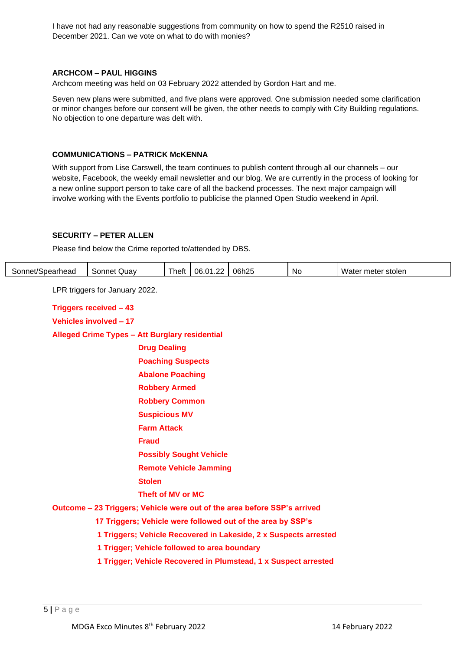I have not had any reasonable suggestions from community on how to spend the R2510 raised in December 2021. Can we vote on what to do with monies?

#### **ARCHCOM – PAUL HIGGINS**

Archcom meeting was held on 03 February 2022 attended by Gordon Hart and me.

 Seven new plans were submitted, and five plans were approved. One submission needed some clarification or minor changes before our consent will be given, the other needs to comply with City Building regulations. No objection to one departure was delt with.

#### **COMMUNICATIONS – PATRICK McKENNA**

 With support from Lise Carswell, the team continues to publish content through all our channels – our website, Facebook, the weekly email newsletter and our blog. We are currently in the process of looking for a new online support person to take care of all the backend processes. The next major campaign will involve working with the Events portfolio to publicise the planned Open Studio weekend in April.

# **SECURITY – PETER ALLEN**

Please find below the Crime reported to/attended by DBS.

| Sonnet/Spearhead | Sonnet Quav                    | Theft | 06.01.22 | 06h25 | <b>No</b> | Water meter stolen |
|------------------|--------------------------------|-------|----------|-------|-----------|--------------------|
|                  | LPR triggers for January 2022. |       |          |       |           |                    |

| Alleged Crime Types - Att Burglary residential                           |
|--------------------------------------------------------------------------|
| <b>Drug Dealing</b>                                                      |
| <b>Poaching Suspects</b>                                                 |
| <b>Abalone Poaching</b>                                                  |
| <b>Robbery Armed</b>                                                     |
| <b>Robbery Common</b>                                                    |
| <b>Suspicious MV</b>                                                     |
| <b>Farm Attack</b>                                                       |
| <b>Fraud</b>                                                             |
| <b>Possibly Sought Vehicle</b>                                           |
| <b>Remote Vehicle Jamming</b>                                            |
| <b>Stolen</b>                                                            |
| Theft of MV or MC                                                        |
| Outcome – 23 Triggers; Vehicle were out of the area before SSP's arrived |
| 17 Triggers; Vehicle were followed out of the area by SSP's              |
| 1 Triggers; Vehicle Recovered in Lakeside, 2 x Suspects arrested         |
| 1 Trigger; Vehicle followed to area boundary                             |
| 1 Trigger; Vehicle Recovered in Plumstead, 1 x Suspect arrested          |